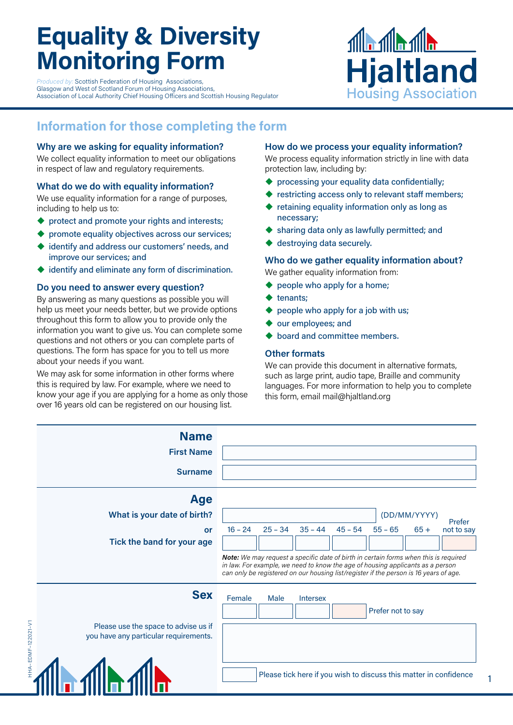# **Equality & Diversity Monitoring Form**

*<i>Produced by:* Scottish Federation of Housing Associations, Glasgow and West of Scotland Forum of Housing Associations, Association of Local Authority Chief Housing Officers and Scottish Housing Regulator



# **Information for those completing the form**

### **Why are we asking for equality information?**

We collect equality information to meet our obligations in respect of law and regulatory requirements.

## **What do we do with equality information?**

We use equality information for a range of purposes, including to help us to:

- protect and promote your rights and interests;
- promote equality objectives across our services;
- ◆ identify and address our customers' needs, and improve our services; and
- identify and eliminate any form of discrimination.

# **Do you need to answer every question?**

By answering as many questions as possible you will help us meet your needs better, but we provide options throughout this form to allow you to provide only the information you want to give us. You can complete some questions and not others or you can complete parts of questions. The form has space for you to tell us more about your needs if you want.

We may ask for some information in other forms where this is required by law. For example, where we need to know your age if you are applying for a home as only those over 16 years old can be registered on our housing list.

#### **How do we process your equality information?**

We process equality information strictly in line with data protection law, including by:

- ◆ processing your equality data confidentially;
- restricting access only to relevant staff members;
- retaining equality information only as long as necessary;
- sharing data only as lawfully permitted; and
- destroying data securely.

# **Who do we gather equality information about?**

We gather equality information from:

- people who apply for a home;
- tenants;
- people who apply for a job with us;
- our employees; and
- board and committee members.

## **Other formats**

We can provide this document in alternative formats, such as large print, audio tape, Braille and community languages. For more information to help you to complete this form, email mail@hjaltland.org

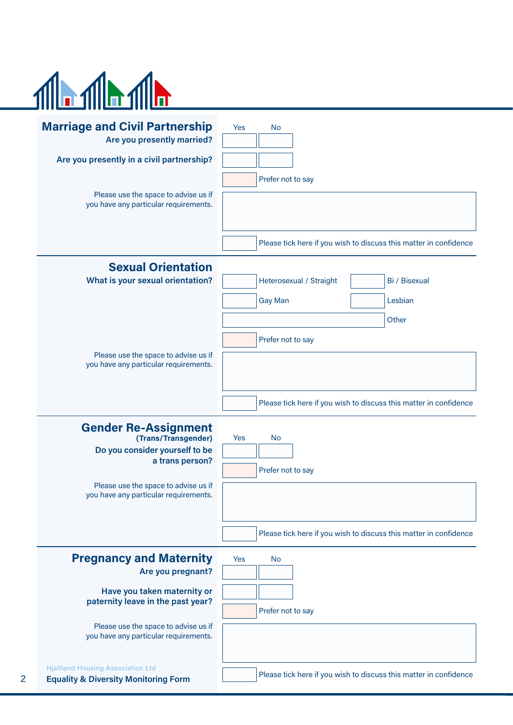

2

| <b>Marriage and Civil Partnership</b><br>Are you presently married?                         | Yes<br><b>No</b>                                                  |  |  |  |  |  |  |
|---------------------------------------------------------------------------------------------|-------------------------------------------------------------------|--|--|--|--|--|--|
| Are you presently in a civil partnership?                                                   |                                                                   |  |  |  |  |  |  |
|                                                                                             | Prefer not to say                                                 |  |  |  |  |  |  |
| Please use the space to advise us if<br>you have any particular requirements.               |                                                                   |  |  |  |  |  |  |
|                                                                                             |                                                                   |  |  |  |  |  |  |
|                                                                                             | Please tick here if you wish to discuss this matter in confidence |  |  |  |  |  |  |
| <b>Sexual Orientation</b>                                                                   |                                                                   |  |  |  |  |  |  |
| What is your sexual orientation?                                                            | Bi / Bisexual<br>Heterosexual / Straight                          |  |  |  |  |  |  |
|                                                                                             | Lesbian<br><b>Gay Man</b>                                         |  |  |  |  |  |  |
|                                                                                             | Other                                                             |  |  |  |  |  |  |
|                                                                                             | Prefer not to say                                                 |  |  |  |  |  |  |
| Please use the space to advise us if<br>you have any particular requirements.               |                                                                   |  |  |  |  |  |  |
|                                                                                             |                                                                   |  |  |  |  |  |  |
|                                                                                             | Please tick here if you wish to discuss this matter in confidence |  |  |  |  |  |  |
| <b>Gender Re-Assignment</b>                                                                 |                                                                   |  |  |  |  |  |  |
| (Trans/Transgender)<br>Do you consider yourself to be                                       | Yes<br><b>No</b>                                                  |  |  |  |  |  |  |
| a trans person?                                                                             | Prefer not to say                                                 |  |  |  |  |  |  |
| Please use the space to advise us if                                                        |                                                                   |  |  |  |  |  |  |
| you have any particular requirements.                                                       |                                                                   |  |  |  |  |  |  |
|                                                                                             |                                                                   |  |  |  |  |  |  |
|                                                                                             | Please tick here if you wish to discuss this matter in confidence |  |  |  |  |  |  |
| <b>Pregnancy and Maternity</b>                                                              | Yes<br><b>No</b>                                                  |  |  |  |  |  |  |
| Are you pregnant?                                                                           |                                                                   |  |  |  |  |  |  |
| Have you taken maternity or<br>paternity leave in the past year?                            |                                                                   |  |  |  |  |  |  |
| Please use the space to advise us if                                                        | Prefer not to say                                                 |  |  |  |  |  |  |
| you have any particular requirements.                                                       |                                                                   |  |  |  |  |  |  |
|                                                                                             |                                                                   |  |  |  |  |  |  |
| <b>Hjaltland Housing Association Ltd</b><br><b>Equality &amp; Diversity Monitoring Form</b> | Please tick here if you wish to discuss this matter in confidence |  |  |  |  |  |  |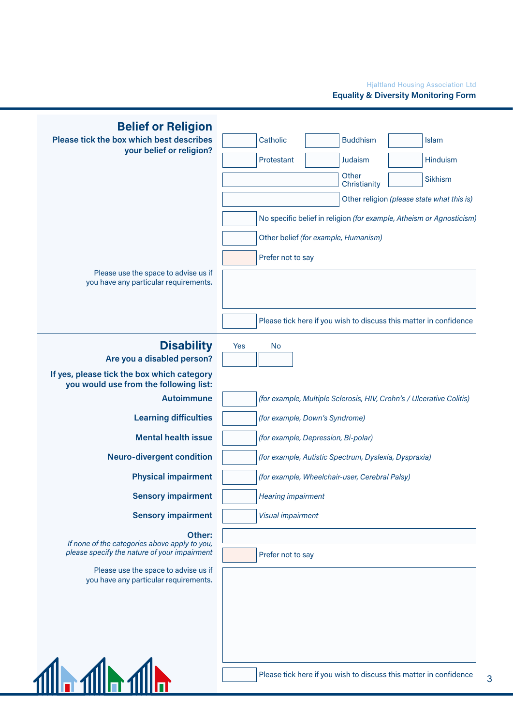

3